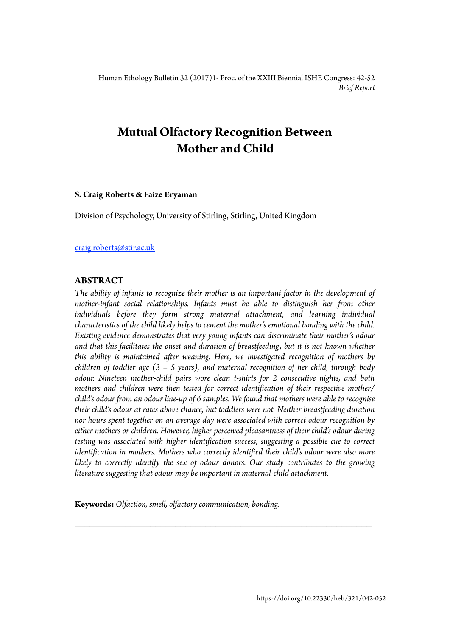Human Ethology Bulletin 32 (2017)1- Proc. of the XXIII Biennial ISHE Congress: 42-52 *Brief Report* 

# **Mutual Olfactory Recognition Between Mother and Child**

# **S. Craig Roberts & Faize Eryaman**

Division of Psychology, University of Stirling, Stirling, United Kingdom

# [craig.roberts@stir.ac.uk](mailto:craig.roberts@stir.ac.uk)

# **ABSTRACT**

*The ability of infants to recognize their mother is an important factor in the development of mother-infant social relationships. Infants must be able to distinguish her from other individuals before they form strong maternal attachment, and learning individual characteristics of the child likely helps to cement the mother's emotional bonding with the child. Existing evidence demonstrates that very young infants can discriminate their mother's odour and that this facilitates the onset and duration of breastfeeding, but it is not known whether this ability is maintained after weaning. Here, we investigated recognition of mothers by children of toddler age (3 – 5 years), and maternal recognition of her child, through body odour. Nineteen mother-child pairs wore clean t-shirts for 2 consecutive nights, and both mothers and children were then tested for correct identification of their respective mother/ child's odour from an odour line-up of 6 samples. We found that mothers were able to recognise their child's odour at rates above chance, but toddlers were not. Neither breastfeeding duration nor hours spent together on an average day were associated with correct odour recognition by either mothers or children. However, higher perceived pleasantness of their child's odour during testing was associated with higher identification success, suggesting a possible cue to correct identification in mothers. Mothers who correctly identified their child's odour were also more*  likely to correctly identify the sex of odour donors. Our study contributes to the growing *literature suggesting that odour may be important in maternal-child attachment.* 

*\_\_\_\_\_\_\_\_\_\_\_\_\_\_\_\_\_\_\_\_\_\_\_\_\_\_\_\_\_\_\_\_\_\_\_\_\_\_\_\_\_\_\_\_\_\_\_\_\_\_\_\_\_\_\_\_\_\_\_* 

**Keywords:** *Olfaction, smell, olfactory communication, bonding.*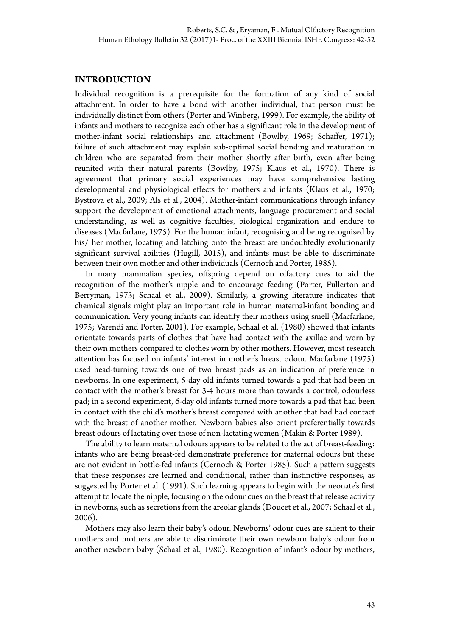# **INTRODUCTION**

Individual recognition is a prerequisite for the formation of any kind of social attachment. In order to have a bond with another individual, that person must be individually distinct from others (Porter and Winberg, 1999). For example, the ability of infants and mothers to recognize each other has a significant role in the development of mother-infant social relationships and attachment (Bowlby, 1969; Schaffer, 1971); failure of such attachment may explain sub-optimal social bonding and maturation in children who are separated from their mother shortly after birth, even after being reunited with their natural parents (Bowlby, 1975; Klaus et al., 1970). There is agreement that primary social experiences may have comprehensive lasting developmental and physiological effects for mothers and infants (Klaus et al., 1970; Bystrova et al., 2009; Als et al., 2004). Mother-infant communications through infancy support the development of emotional attachments, language procurement and social understanding, as well as cognitive faculties, biological organization and endure to diseases (Macfarlane, 1975). For the human infant, recognising and being recognised by his/ her mother, locating and latching onto the breast are undoubtedly evolutionarily significant survival abilities (Hugill, 2015), and infants must be able to discriminate between their own mother and other individuals (Cernoch and Porter, 1985).

In many mammalian species, offspring depend on olfactory cues to aid the recognition of the mother's nipple and to encourage feeding (Porter, Fullerton and Berryman, 1973; Schaal et al., 2009). Similarly, a growing literature indicates that chemical signals might play an important role in human maternal-infant bonding and communication. Very young infants can identify their mothers using smell (Macfarlane, 1975; Varendi and Porter, 2001). For example, Schaal et al. (1980) showed that infants orientate towards parts of clothes that have had contact with the axillae and worn by their own mothers compared to clothes worn by other mothers. However, most research attention has focused on infants' interest in mother's breast odour. Macfarlane (1975) used head-turning towards one of two breast pads as an indication of preference in newborns. In one experiment, 5-day old infants turned towards a pad that had been in contact with the mother's breast for 3-4 hours more than towards a control, odourless pad; in a second experiment, 6-day old infants turned more towards a pad that had been in contact with the child's mother's breast compared with another that had had contact with the breast of another mother. Newborn babies also orient preferentially towards breast odours of lactating over those of non-lactating women (Makin & Porter 1989).

The ability to learn maternal odours appears to be related to the act of breast-feeding: infants who are being breast-fed demonstrate preference for maternal odours but these are not evident in bottle-fed infants (Cernoch & Porter 1985). Such a pattern suggests that these responses are learned and conditional, rather than instinctive responses, as suggested by Porter et al. (1991). Such learning appears to begin with the neonate's first attempt to locate the nipple, focusing on the odour cues on the breast that release activity in newborns, such as secretions from the areolar glands (Doucet et al., 2007; Schaal et al., 2006).

Mothers may also learn their baby's odour. Newborns' odour cues are salient to their mothers and mothers are able to discriminate their own newborn baby's odour from another newborn baby (Schaal et al., 1980). Recognition of infant's odour by mothers,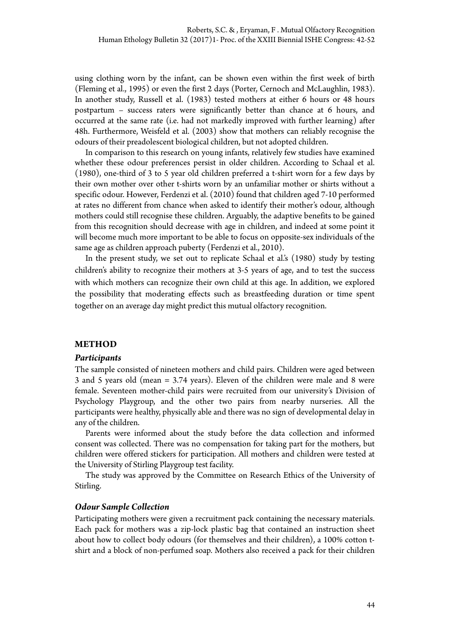using clothing worn by the infant, can be shown even within the first week of birth (Fleming et al., 1995) or even the first 2 days (Porter, Cernoch and McLaughlin, 1983). In another study, Russell et al. (1983) tested mothers at either 6 hours or 48 hours postpartum – success raters were significantly better than chance at 6 hours, and occurred at the same rate (i.e. had not markedly improved with further learning) after 48h. Furthermore, Weisfeld et al. (2003) show that mothers can reliably recognise the odours of their preadolescent biological children, but not adopted children.

In comparison to this research on young infants, relatively few studies have examined whether these odour preferences persist in older children. According to Schaal et al. (1980), one-third of 3 to 5 year old children preferred a t-shirt worn for a few days by their own mother over other t-shirts worn by an unfamiliar mother or shirts without a specific odour. However, Ferdenzi et al. (2010) found that children aged 7-10 performed at rates no different from chance when asked to identify their mother's odour, although mothers could still recognise these children. Arguably, the adaptive benefits to be gained from this recognition should decrease with age in children, and indeed at some point it will become much more important to be able to focus on opposite-sex individuals of the same age as children approach puberty (Ferdenzi et al., 2010).

In the present study, we set out to replicate Schaal et al.'s (1980) study by testing children's ability to recognize their mothers at 3-5 years of age, and to test the success with which mothers can recognize their own child at this age. In addition, we explored the possibility that moderating effects such as breastfeeding duration or time spent together on an average day might predict this mutual olfactory recognition.

# **METHOD**

# *Participants*

The sample consisted of nineteen mothers and child pairs. Children were aged between 3 and 5 years old (mean = 3.74 years). Eleven of the children were male and 8 were female. Seventeen mother-child pairs were recruited from our university's Division of Psychology Playgroup, and the other two pairs from nearby nurseries. All the participants were healthy, physically able and there was no sign of developmental delay in any of the children.

Parents were informed about the study before the data collection and informed consent was collected. There was no compensation for taking part for the mothers, but children were offered stickers for participation. All mothers and children were tested at the University of Stirling Playgroup test facility.

The study was approved by the Committee on Research Ethics of the University of Stirling.

# *Odour Sample Collection*

Participating mothers were given a recruitment pack containing the necessary materials. Each pack for mothers was a zip-lock plastic bag that contained an instruction sheet about how to collect body odours (for themselves and their children), a 100% cotton tshirt and a block of non-perfumed soap. Mothers also received a pack for their children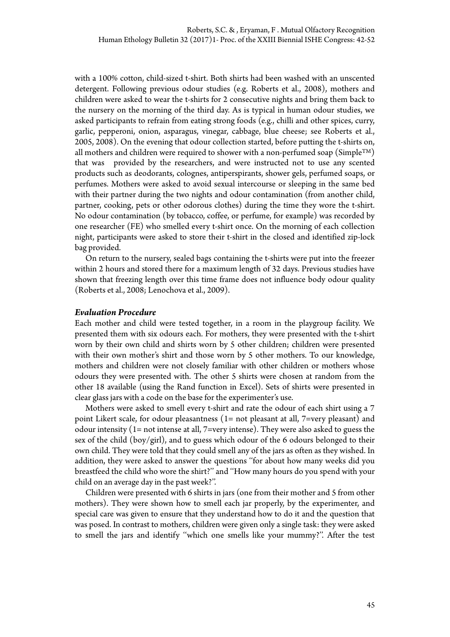with a 100% cotton, child-sized t-shirt. Both shirts had been washed with an unscented detergent. Following previous odour studies (e.g. Roberts et al., 2008), mothers and children were asked to wear the t-shirts for 2 consecutive nights and bring them back to the nursery on the morning of the third day. As is typical in human odour studies, we asked participants to refrain from eating strong foods (e.g., chilli and other spices, curry, garlic, pepperoni, onion, asparagus, vinegar, cabbage, blue cheese; see Roberts et al., 2005, 2008). On the evening that odour collection started, before putting the t-shirts on, all mothers and children were required to shower with a non-perfumed soap (SimpleTM) that was provided by the researchers, and were instructed not to use any scented products such as deodorants, colognes, antiperspirants, shower gels, perfumed soaps, or perfumes. Mothers were asked to avoid sexual intercourse or sleeping in the same bed with their partner during the two nights and odour contamination (from another child, partner, cooking, pets or other odorous clothes) during the time they wore the t-shirt. No odour contamination (by tobacco, coffee, or perfume, for example) was recorded by one researcher (FE) who smelled every t-shirt once. On the morning of each collection night, participants were asked to store their t-shirt in the closed and identified zip-lock bag provided.

On return to the nursery, sealed bags containing the t-shirts were put into the freezer within 2 hours and stored there for a maximum length of 32 days. Previous studies have shown that freezing length over this time frame does not influence body odour quality (Roberts et al., 2008; Lenochova et al., 2009).

# *Evaluation Procedure*

Each mother and child were tested together, in a room in the playgroup facility. We presented them with six odours each. For mothers, they were presented with the t-shirt worn by their own child and shirts worn by 5 other children; children were presented with their own mother's shirt and those worn by 5 other mothers. To our knowledge, mothers and children were not closely familiar with other children or mothers whose odours they were presented with. The other 5 shirts were chosen at random from the other 18 available (using the Rand function in Excel). Sets of shirts were presented in clear glass jars with a code on the base for the experimenter's use.

Mothers were asked to smell every t-shirt and rate the odour of each shirt using a 7 point Likert scale, for odour pleasantness (1= not pleasant at all, 7=very pleasant) and odour intensity (1= not intense at all, 7=very intense). They were also asked to guess the sex of the child (boy/girl), and to guess which odour of the 6 odours belonged to their own child. They were told that they could smell any of the jars as often as they wished. In addition, they were asked to answer the questions ''for about how many weeks did you breastfeed the child who wore the shirt?'' and ''How many hours do you spend with your child on an average day in the past week?''.

Children were presented with 6 shirts in jars (one from their mother and 5 from other mothers). They were shown how to smell each jar properly, by the experimenter, and special care was given to ensure that they understand how to do it and the question that was posed. In contrast to mothers, children were given only a single task: they were asked to smell the jars and identify ''which one smells like your mummy?''. After the test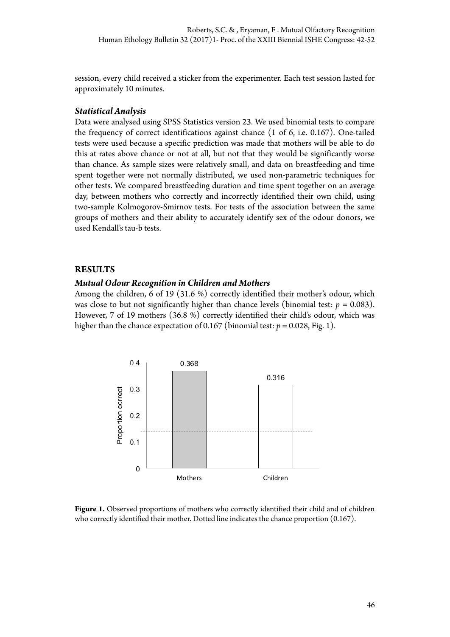session, every child received a sticker from the experimenter. Each test session lasted for approximately 10 minutes.

# *Statistical Analysis*

Data were analysed using SPSS Statistics version 23. We used binomial tests to compare the frequency of correct identifications against chance (1 of 6, i.e. 0.167). One-tailed tests were used because a specific prediction was made that mothers will be able to do this at rates above chance or not at all, but not that they would be significantly worse than chance. As sample sizes were relatively small, and data on breastfeeding and time spent together were not normally distributed, we used non-parametric techniques for other tests. We compared breastfeeding duration and time spent together on an average day, between mothers who correctly and incorrectly identified their own child, using two-sample Kolmogorov-Smirnov tests. For tests of the association between the same groups of mothers and their ability to accurately identify sex of the odour donors, we used Kendall's tau-b tests.

# **RESULTS**

# *Mutual Odour Recognition in Children and Mothers*

Among the children, 6 of 19 (31.6 %) correctly identified their mother's odour, which was close to but not significantly higher than chance levels (binomial test:  $p = 0.083$ ). However, 7 of 19 mothers (36.8 %) correctly identified their child's odour, which was higher than the chance expectation of 0.167 (binomial test:  $p = 0.028$ , Fig. 1).



Figure 1. Observed proportions of mothers who correctly identified their child and of children who correctly identified their mother. Dotted line indicates the chance proportion (0.167).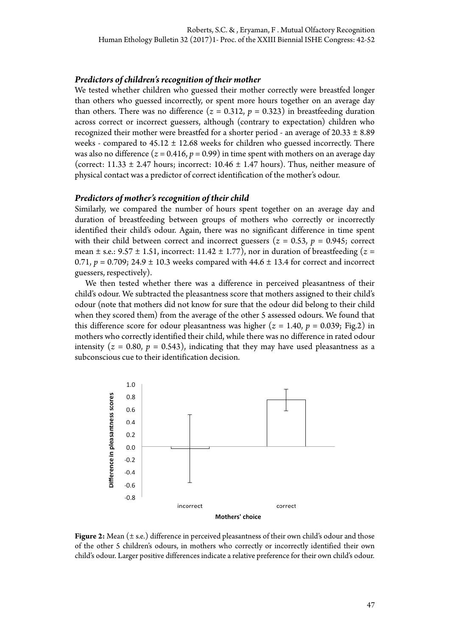# *Predictors of children's recognition of their mother*

We tested whether children who guessed their mother correctly were breastfed longer than others who guessed incorrectly, or spent more hours together on an average day than others. There was no difference  $(z = 0.312, p = 0.323)$  in breastfeeding duration across correct or incorrect guessers, although (contrary to expectation) children who recognized their mother were breastfed for a shorter period - an average of  $20.33 \pm 8.89$ weeks - compared to  $45.12 \pm 12.68$  weeks for children who guessed incorrectly. There was also no difference  $(z = 0.416, p = 0.99)$  in time spent with mothers on an average day (correct:  $11.33 \pm 2.47$  hours; incorrect:  $10.46 \pm 1.47$  hours). Thus, neither measure of physical contact was a predictor of correct identification of the mother's odour.

#### *Predictors of mother's recognition of their child*

Similarly, we compared the number of hours spent together on an average day and duration of breastfeeding between groups of mothers who correctly or incorrectly identified their child's odour. Again, there was no significant difference in time spent with their child between correct and incorrect guessers ( $z = 0.53$ ,  $p = 0.945$ ; correct mean  $\pm$  s.e.: 9.57  $\pm$  1.51, incorrect: 11.42  $\pm$  1.77), nor in duration of breastfeeding ( $z =$ 0.71,  $p = 0.709$ ; 24.9  $\pm$  10.3 weeks compared with 44.6  $\pm$  13.4 for correct and incorrect guessers, respectively).

We then tested whether there was a difference in perceived pleasantness of their child's odour. We subtracted the pleasantness score that mothers assigned to their child's odour (note that mothers did not know for sure that the odour did belong to their child when they scored them) from the average of the other 5 assessed odours. We found that this difference score for odour pleasantness was higher  $(z = 1.40, p = 0.039; Fig.2)$  in mothers who correctly identified their child, while there was no difference in rated odour intensity  $(z = 0.80, p = 0.543)$ , indicating that they may have used pleasantness as a subconscious cue to their identification decision.



**Figure 2:** Mean (± s.e.) difference in perceived pleasantness of their own child's odour and those of the other 5 children's odours, in mothers who correctly or incorrectly identified their own child's odour. Larger positive differences indicate a relative preference for their own child's odour.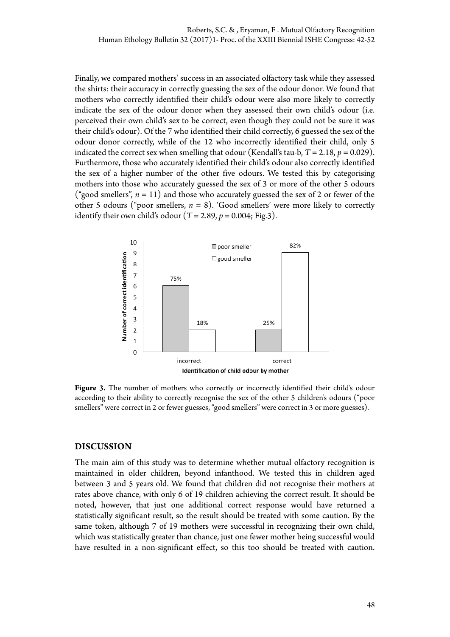Finally, we compared mothers' success in an associated olfactory task while they assessed the shirts: their accuracy in correctly guessing the sex of the odour donor. We found that mothers who correctly identified their child's odour were also more likely to correctly indicate the sex of the odour donor when they assessed their own child's odour (i.e. perceived their own child's sex to be correct, even though they could not be sure it was their child's odour). Of the 7 who identified their child correctly, 6 guessed the sex of the odour donor correctly, while of the 12 who incorrectly identified their child, only 5 indicated the correct sex when smelling that odour (Kendall's tau-b,  $T = 2.18$ ,  $p = 0.029$ ). Furthermore, those who accurately identified their child's odour also correctly identified the sex of a higher number of the other five odours. We tested this by categorising mothers into those who accurately guessed the sex of 3 or more of the other 5 odours ("good smellers",  $n = 11$ ) and those who accurately guessed the sex of 2 or fewer of the other 5 odours ("poor smellers, *n* = 8). 'Good smellers' were more likely to correctly identify their own child's odour  $(T = 2.89, p = 0.004; Fig.3)$ .



Figure 3. The number of mothers who correctly or incorrectly identified their child's odour according to their ability to correctly recognise the sex of the other 5 children's odours ("poor smellers" were correct in 2 or fewer guesses, "good smellers" were correct in 3 or more guesses).

# **DISCUSSION**

The main aim of this study was to determine whether mutual olfactory recognition is maintained in older children, beyond infanthood. We tested this in children aged between 3 and 5 years old. We found that children did not recognise their mothers at rates above chance, with only 6 of 19 children achieving the correct result. It should be noted, however, that just one additional correct response would have returned a statistically significant result, so the result should be treated with some caution. By the same token, although 7 of 19 mothers were successful in recognizing their own child, which was statistically greater than chance, just one fewer mother being successful would have resulted in a non-significant effect, so this too should be treated with caution.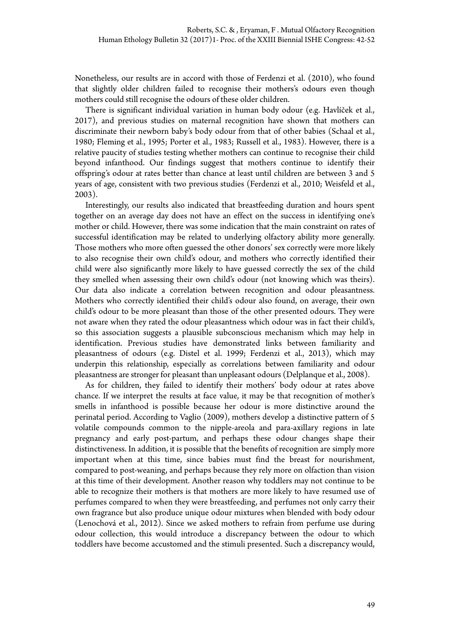Nonetheless, our results are in accord with those of Ferdenzi et al. (2010), who found that slightly older children failed to recognise their mothers's odours even though mothers could still recognise the odours of these older children.

There is significant individual variation in human body odour (e.g. Havlíček et al., 2017), and previous studies on maternal recognition have shown that mothers can discriminate their newborn baby's body odour from that of other babies (Schaal et al., 1980; Fleming et al., 1995; Porter et al., 1983; Russell et al., 1983). However, there is a relative paucity of studies testing whether mothers can continue to recognise their child beyond infanthood. Our findings suggest that mothers continue to identify their offspring's odour at rates better than chance at least until children are between 3 and 5 years of age, consistent with two previous studies (Ferdenzi et al., 2010; Weisfeld et al., 2003).

Interestingly, our results also indicated that breastfeeding duration and hours spent together on an average day does not have an effect on the success in identifying one's mother or child. However, there was some indication that the main constraint on rates of successful identification may be related to underlying olfactory ability more generally. Those mothers who more often guessed the other donors' sex correctly were more likely to also recognise their own child's odour, and mothers who correctly identified their child were also significantly more likely to have guessed correctly the sex of the child they smelled when assessing their own child's odour (not knowing which was theirs). Our data also indicate a correlation between recognition and odour pleasantness. Mothers who correctly identified their child's odour also found, on average, their own child's odour to be more pleasant than those of the other presented odours. They were not aware when they rated the odour pleasantness which odour was in fact their child's, so this association suggests a plausible subconscious mechanism which may help in identification. Previous studies have demonstrated links between familiarity and pleasantness of odours (e.g. Distel et al. 1999; Ferdenzi et al., 2013), which may underpin this relationship, especially as correlations between familiarity and odour pleasantness are stronger for pleasant than unpleasant odours (Delplanque et al., 2008).

As for children, they failed to identify their mothers' body odour at rates above chance. If we interpret the results at face value, it may be that recognition of mother's smells in infanthood is possible because her odour is more distinctive around the perinatal period. According to Vaglio (2009), mothers develop a distinctive pattern of 5 volatile compounds common to the nipple-areola and para-axillary regions in late pregnancy and early post-partum, and perhaps these odour changes shape their distinctiveness. In addition, it is possible that the benefits of recognition are simply more important when at this time, since babies must find the breast for nourishment, compared to post-weaning, and perhaps because they rely more on olfaction than vision at this time of their development. Another reason why toddlers may not continue to be able to recognize their mothers is that mothers are more likely to have resumed use of perfumes compared to when they were breastfeeding, and perfumes not only carry their own fragrance but also produce unique odour mixtures when blended with body odour (Lenochová et al., 2012). Since we asked mothers to refrain from perfume use during odour collection, this would introduce a discrepancy between the odour to which toddlers have become accustomed and the stimuli presented. Such a discrepancy would,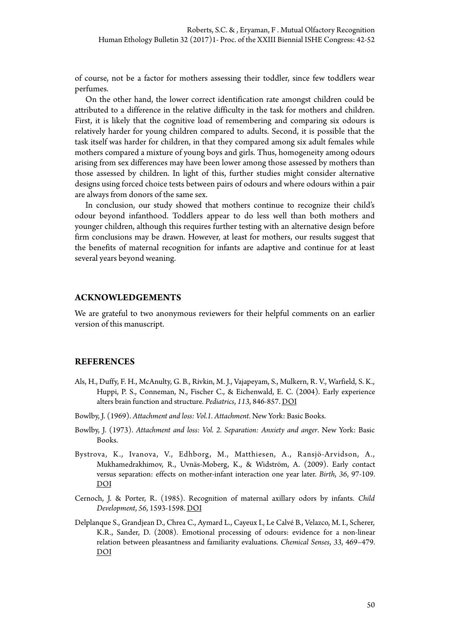of course, not be a factor for mothers assessing their toddler, since few toddlers wear perfumes.

On the other hand, the lower correct identification rate amongst children could be attributed to a difference in the relative difficulty in the task for mothers and children. First, it is likely that the cognitive load of remembering and comparing six odours is relatively harder for young children compared to adults. Second, it is possible that the task itself was harder for children, in that they compared among six adult females while mothers compared a mixture of young boys and girls. Thus, homogeneity among odours arising from sex differences may have been lower among those assessed by mothers than those assessed by children. In light of this, further studies might consider alternative designs using forced choice tests between pairs of odours and where odours within a pair are always from donors of the same sex.

In conclusion, our study showed that mothers continue to recognize their child's odour beyond infanthood. Toddlers appear to do less well than both mothers and younger children, although this requires further testing with an alternative design before firm conclusions may be drawn. However, at least for mothers, our results suggest that the benefits of maternal recognition for infants are adaptive and continue for at least several years beyond weaning.

#### **ACKNOWLEDGEMENTS**

We are grateful to two anonymous reviewers for their helpful comments on an earlier version of this manuscript.

#### **REFERENCES**

- Als, H., Duffy, F. H., McAnulty, G. B., Rivkin, M. J., Vajapeyam, S., Mulkern, R. V., Warfield, S. K., Huppi, P. S., Conneman, N., Fischer C., & Eichenwald, E. C. (2004). Early experience alters brain function and structure. *Pediatrics*, *113*, 846-857. [DOI](https://dx.doi.org/10.1542/peds.113.4.846)
- Bowlby, J. (1969). *Attachment and loss: Vol.1. Attachment*. New York: Basic Books.
- Bowlby, J. (1973). *Attachment and loss: Vol. 2. Separation: Anxiety and anger*. New York: Basic Books.
- Bystrova, K., Ivanova, V., Edhborg, M., Matthiesen, A., Ransjö-Arvidson, A., Mukhamedrakhimov, R., Uvnäs-Moberg, K., & Widström, A. (2009). Early contact versus separation: effects on mother-infant interaction one year later. *Birth*, *36*, 97-109. [DOI](https://dx.doi.org/10.1111/j.1523-536X.2009.00307.x)
- Cernoch, J. & Porter, R. (1985). Recognition of maternal axillary odors by infants. *Child Development*, *56*, 1593-1598. [DOI](https://dx.doi.org/10.2307/1130478)
- Delplanque S., Grandjean D., Chrea C., Aymard L., Cayeux I., Le Calvé B., Velazco, M. I., Scherer, K.R., Sander, D. (2008). Emotional processing of odours: evidence for a non-linear relation between pleasantness and familiarity evaluations. *Chemical Senses*, *33*, 469–479. [DOI](https://dx.doi.org/10.1093/chemse/bjn014)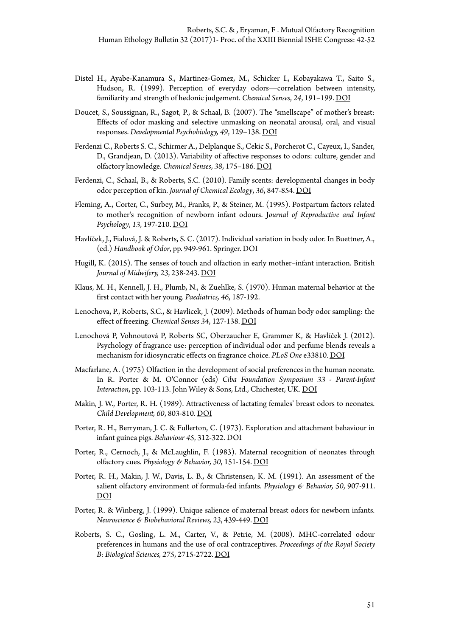- Distel H., Ayabe-Kanamura S., Martinez-Gomez, M., Schicker I., Kobayakawa T., Saito S., Hudson, R. (1999). Perception of everyday odors—correlation between intensity, familiarity and strength of hedonic judgement. *Chemical Senses*, *24*, 191–199. [DOI](https://dx.doi.org/10.1093/chemse/24.2.191)
- Doucet, S., Soussignan, R., Sagot, P., & Schaal, B. (2007). The "smellscape" of mother's breast: Effects of odor masking and selective unmasking on neonatal arousal, oral, and visual responses. *Developmental Psychobiology, 49*, 129–138. [DOI](https://dx.doi.org/10.1002/dev.20210)
- Ferdenzi C., Roberts S. C., Schirmer A., Delplanque S., Cekic S., Porcherot C., Cayeux, I., Sander, D., Grandjean, D. (2013). Variability of affective responses to odors: culture, gender and olfactory knowledge. *Chemical Senses*, *38*, 175–186. [DOI](https://dx.doi.org/10.1093/chemse/bjs083)
- Ferdenzi, C., Schaal, B., & Roberts, S.C. (2010). Family scents: developmental changes in body odor perception of kin. *Journal of Chemical Ecology*, *36*, 847-854. [DOI](https://dx.doi.org/10.1007/s10886-010-9827-x)
- Fleming, A., Corter, C., Surbey, M., Franks, P., & Steiner, M. (1995). Postpartum factors related to mother's recognition of newborn infant odours. J*ournal of Reproductive and Infant Psychology*, *13*, 197-210. [DOI](https://dx.doi.org/10.1080/02646839508403249)
- Havlíček, J., Fialová, J. & Roberts, S. C. (2017). Individual variation in body odor. In Buettner, A., (ed.) *Handbook of Odor*, pp. 949-961. Springer. [DOI](https://dx.doi.org/10.1007/978-3-319-26932-0_50)
- Hugill, K. (2015). The senses of touch and olfaction in early mother–infant interaction. British *Journal of Midwifery, 23*, 238-243. [DOI](https://dx.doi.org/10.12968/bjom.2015.23.4.238)
- Klaus, M. H., Kennell, J. H., Plumb, N., & Zuehlke, S. (1970). Human maternal behavior at the first contact with her young. *Paediatrics, 46*, 187-192.
- Lenochova, P., Roberts, S.C., & Havlicek, J. (2009). Methods of human body odor sampling: the effect of freezing. *Chemical Senses 34*, 127-138. [DOI](https://dx.doi.org/10.1093/chemse/bjn067)
- Lenochová P, Vohnoutová P, Roberts SC, Oberzaucher E, Grammer K, & Havlíček J. (2012). Psychology of fragrance use: perception of individual odor and perfume blends reveals a mechanism for idiosyncratic effects on fragrance choice. *PLoS One* e33810. [DOI](https://dx.doi.org/10.1371/journal.pone.0033810)
- Macfarlane, A. (1975) Olfaction in the development of social preferences in the human neonate. In R. Porter & M. O'Connor (eds) *Ciba Foundation Symposium 33 - Parent-Infant Interaction*, pp. 103-113. John Wiley & Sons, Ltd., Chichester, UK. [DOI](https://dx.doi.org/10.1002/9780470720158.ch7)
- Makin, J. W., Porter, R. H. (1989). Attractiveness of lactating females' breast odors to neonates. *Child Development, 60*, 803-810. [DOI](https://dx.doi.org/10.2307/1131020)
- Porter, R. H., Berryman, J. C. & Fullerton, C. (1973). Exploration and attachment behaviour in infant guinea pigs. *Behaviour 45*, 312-322. [DOI](https://dx.doi.org/10.1163/156853974X00705)
- Porter, R., Cernoch, J., & McLaughlin, F. (1983). Maternal recognition of neonates through olfactory cues. *Physiology & Behavior, 30*, 151-154. [DOI](https://dx.doi.org/10.1016/0031-9384(83)90051-3)
- Porter, R. H., Makin, J. W., Davis, L. B., & Christensen, K. M. (1991). An assessment of the salient olfactory environment of formula-fed infants. *Physiology & Behavior, 50*, 907-911. [DOI](https://dx.doi.org/10.1016/0031-9384(91)90413-I)
- Porter, R. & Winberg, J. (1999). Unique salience of maternal breast odors for newborn infants. *Neuroscience & Biobehavioral Reviews, 23*, 439-449. [DOI](https://dx.doi.org/10.1016/S0149-7634(98)00044-X)
- Roberts, S. C., Gosling, L. M., Carter, V., & Petrie, M. (2008). MHC-correlated odour preferences in humans and the use of oral contraceptives. *Proceedings of the Royal Society B: Biological Sciences, 275*, 2715-2722. [DOI](https://dx.doi.org/10.1098/rspb.2008.0825)